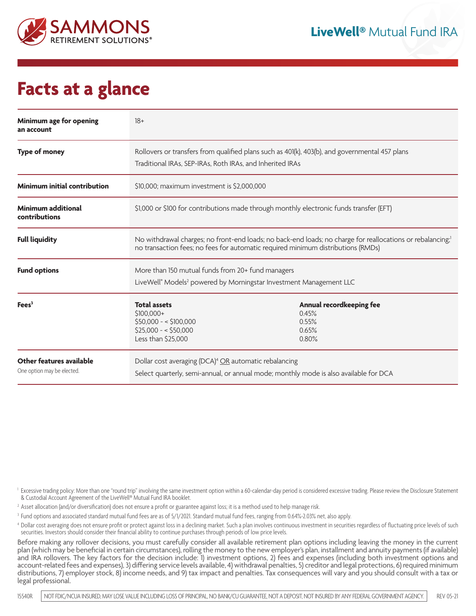

## **Facts at a glance**

| Minimum age for opening<br>an account                  | $18+$                                                                                                                                                                                                      |                                                              |
|--------------------------------------------------------|------------------------------------------------------------------------------------------------------------------------------------------------------------------------------------------------------------|--------------------------------------------------------------|
| <b>Type of money</b>                                   | Rollovers or transfers from qualified plans such as 401(k), 403(b), and governmental 457 plans<br>Traditional IRAs, SEP-IRAs, Roth IRAs, and Inherited IRAs                                                |                                                              |
| <b>Minimum initial contribution</b>                    | \$10,000; maximum investment is \$2,000,000                                                                                                                                                                |                                                              |
| Minimum additional<br>contributions                    | \$1,000 or \$100 for contributions made through monthly electronic funds transfer (EFT)                                                                                                                    |                                                              |
| <b>Full liquidity</b>                                  | No withdrawal charges; no front-end loads; no back-end loads; no charge for reallocations or rebalancing; <sup>1</sup><br>no transaction fees; no fees for automatic required minimum distributions (RMDs) |                                                              |
| <b>Fund options</b>                                    | More than 150 mutual funds from 20+ fund managers<br>LiveWell® Models <sup>2</sup> powered by Morningstar Investment Management LLC                                                                        |                                                              |
| Fees <sup>3</sup>                                      | <b>Total assets</b><br>\$100.000+<br>$$50,000 - $100,000$<br>$$25,000 - $50,000$<br>Less than \$25,000                                                                                                     | Annual recordkeeping fee<br>0.45%<br>0.55%<br>0.65%<br>0.80% |
| Other features available<br>One option may be elected. | Dollar cost averaging (DCA) <sup>4</sup> OR automatic rebalancing<br>Select quarterly, semi-annual, or annual mode; monthly mode is also available for DCA                                                 |                                                              |

<sup>1</sup> Excessive trading policy: More than one "round trip" involving the same investment option within a 60-calendar-day period is considered excessive trading. Please review the Disclosure Statement & Custodial Account Agreement of the LiveWell® Mutual Fund IRA booklet.

<sup>2</sup> Asset allocation (and/or diversification) does not ensure a profit or guarantee against loss; it is a method used to help manage risk.

<sup>3</sup> Fund options and associated standard mutual fund fees are as of 5/1/2021. Standard mutual fund fees, ranging from 0.64%-2.03% net, also apply.

<sup>4</sup> Dollar cost averaging does not ensure profit or protect against loss in a declining market. Such a plan involves continuous investment in securities regardless of fluctuating price levels of such securities. Investors should consider their financial ability to continue purchases through periods of low price levels.

Before making any rollover decisions, you must carefully consider all available retirement plan options including leaving the money in the current plan (which may be beneficial in certain circumstances), rolling the money to the new employer's plan, installment and annuity payments (if available) and IRA rollovers. The key factors for the decision include: 1) investment options, 2) fees and expenses (including both investment options and account-related fees and expenses), 3) differing service levels available, 4) withdrawal penalties, 5) creditor and legal protections, 6) required minimum distributions, 7) employer stock, 8) income needs, and 9) tax impact and penalties. Tax consequences will vary and you should consult with a tax or legal professional.